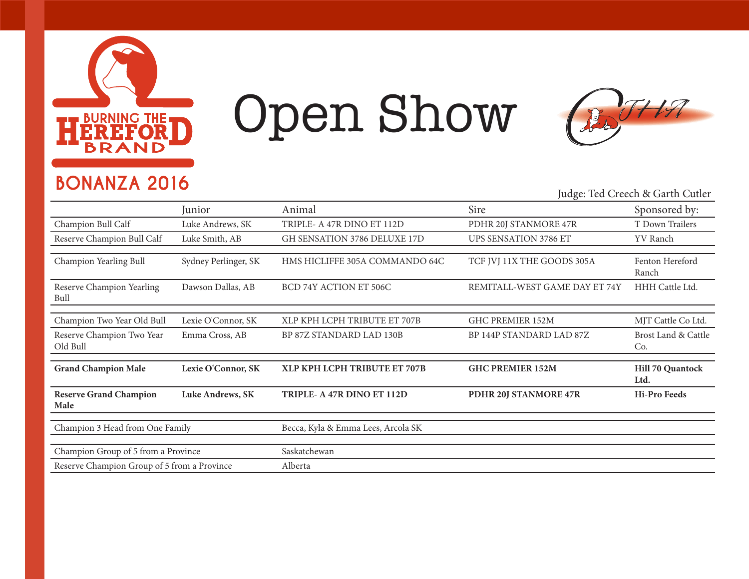

## Open Show



### **BONANZA 2016**

#### Judge: Ted Creech & Garth Cutler

|                                             | Junior                  | Animal                             | Sire                          | Sponsored by:                   |
|---------------------------------------------|-------------------------|------------------------------------|-------------------------------|---------------------------------|
| Champion Bull Calf                          | Luke Andrews, SK        | TRIPLE- A 47R DINO ET 112D         | PDHR 20J STANMORE 47R         | T Down Trailers                 |
| Reserve Champion Bull Calf                  | Luke Smith, AB          | GH SENSATION 3786 DELUXE 17D       | <b>UPS SENSATION 3786 ET</b>  | YV Ranch                        |
| Champion Yearling Bull                      | Sydney Perlinger, SK    | HMS HICLIFFE 305A COMMANDO 64C     | TCF JVJ 11X THE GOODS 305A    | Fenton Hereford<br>Ranch        |
| Reserve Champion Yearling<br>Bull           | Dawson Dallas, AB       | BCD 74Y ACTION ET 506C             | REMITALL-WEST GAME DAY ET 74Y | HHH Cattle Ltd.                 |
| Champion Two Year Old Bull                  | Lexie O'Connor, SK      | XLP KPH LCPH TRIBUTE ET 707B       | <b>GHC PREMIER 152M</b>       | MJT Cattle Co Ltd.              |
| Reserve Champion Two Year<br>Old Bull       | Emma Cross, AB          | BP 87Z STANDARD LAD 130B           | BP 144P STANDARD LAD 87Z      | Brost Land & Cattle<br>Co.      |
| <b>Grand Champion Male</b>                  | Lexie O'Connor, SK      | XLP KPH LCPH TRIBUTE ET 707B       | <b>GHC PREMIER 152M</b>       | <b>Hill 70 Quantock</b><br>Ltd. |
| <b>Reserve Grand Champion</b><br>Male       | <b>Luke Andrews, SK</b> | TRIPLE- A 47R DINO ET 112D         | PDHR 20J STANMORE 47R         | <b>Hi-Pro Feeds</b>             |
| Champion 3 Head from One Family             |                         | Becca, Kyla & Emma Lees, Arcola SK |                               |                                 |
| Champion Group of 5 from a Province         |                         | Saskatchewan                       |                               |                                 |
| Reserve Champion Group of 5 from a Province |                         | Alberta                            |                               |                                 |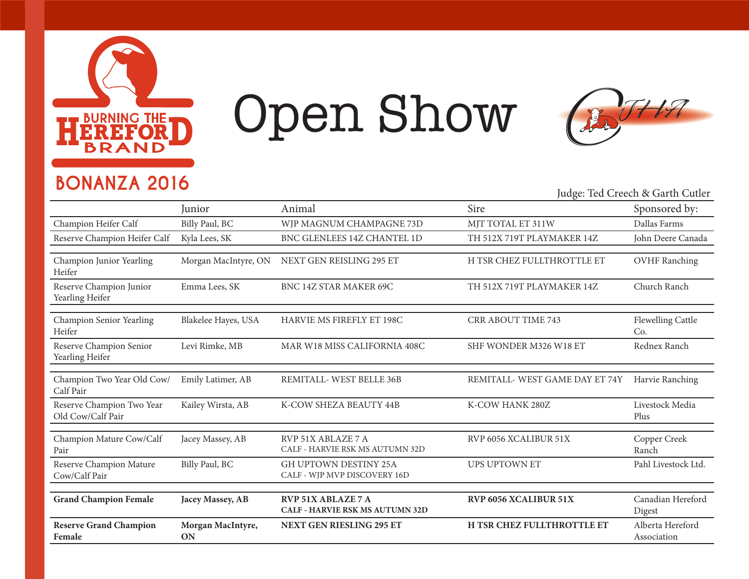

# Open Show



### **BONANZA 2016**

Judge: Ted Creech & Garth Cutler

|                                                | Junior                  | Animal                                                       | Sire                           | Sponsored by:                   |
|------------------------------------------------|-------------------------|--------------------------------------------------------------|--------------------------------|---------------------------------|
| Champion Heifer Calf                           | Billy Paul, BC          | WJP MAGNUM CHAMPAGNE 73D                                     | MJT TOTAL ET 311W              | Dallas Farms                    |
| Reserve Champion Heifer Calf                   | Kyla Lees, SK           | BNC GLENLEES 14Z CHANTEL 1D                                  | TH 512X 719T PLAYMAKER 14Z     | John Deere Canada               |
|                                                |                         | NEXT GEN REISLING 295 ET                                     | H TSR CHEZ FULLTHROTTLE ET     |                                 |
| Champion Junior Yearling<br>Heifer             | Morgan MacIntyre, ON    |                                                              |                                | <b>OVHF Ranching</b>            |
| Reserve Champion Junior<br>Yearling Heifer     | Emma Lees, SK           | BNC 14Z STAR MAKER 69C                                       | TH 512X 719T PLAYMAKER 14Z     | Church Ranch                    |
| Champion Senior Yearling<br>Heifer             | Blakelee Hayes, USA     | HARVIE MS FIREFLY ET 198C                                    | <b>CRR ABOUT TIME 743</b>      | Flewelling Cattle<br>Co.        |
| Reserve Champion Senior<br>Yearling Heifer     | Levi Rimke, MB          | MAR W18 MISS CALIFORNIA 408C                                 | SHF WONDER M326 W18 ET         | Rednex Ranch                    |
| Champion Two Year Old Cow/<br>Calf Pair        | Emily Latimer, AB       | REMITALL-WEST BELLE 36B                                      | REMITALL- WEST GAME DAY ET 74Y | Harvie Ranching                 |
| Reserve Champion Two Year<br>Old Cow/Calf Pair | Kailey Wirsta, AB       | K-COW SHEZA BEAUTY 44B                                       | K-COW HANK 280Z                | Livestock Media<br>Plus         |
| Champion Mature Cow/Calf<br>Pair               | Jacey Massey, AB        | RVP 51X ABLAZE 7 A<br>CALF - HARVIE RSK MS AUTUMN 32D        | RVP 6056 XCALIBUR 51X          | Copper Creek<br>Ranch           |
| Reserve Champion Mature<br>Cow/Calf Pair       | Billy Paul, BC          | <b>GH UPTOWN DESTINY 25A</b><br>CALF - WJP MVP DISCOVERY 16D | <b>UPS UPTOWN ET</b>           | Pahl Livestock Ltd.             |
| <b>Grand Champion Female</b>                   | Jacey Massey, AB        | <b>RVP 51X ABLAZE 7 A</b>                                    | RVP 6056 XCALIBUR 51X          | Canadian Hereford               |
|                                                |                         | <b>CALF - HARVIE RSK MS AUTUMN 32D</b>                       |                                | Digest                          |
| <b>Reserve Grand Champion</b><br>Female        | Morgan MacIntyre,<br>ON | <b>NEXT GEN RIESLING 295 ET</b>                              | H TSR CHEZ FULLTHROTTLE ET     | Alberta Hereford<br>Association |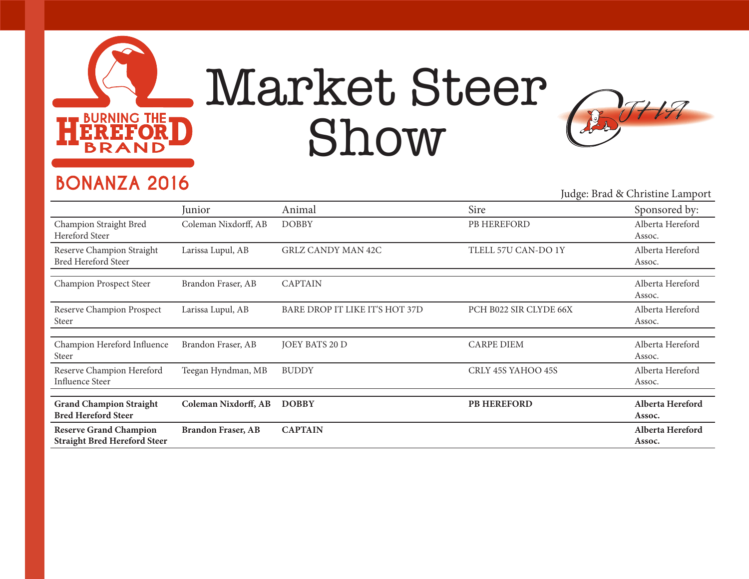

## Market Steer Show



### **BONANZA 2016**

Judge: Brad & Christine Lamport

|                                                                      | Junior                    | Animal                         | Sire                   | Sponsored by:              |
|----------------------------------------------------------------------|---------------------------|--------------------------------|------------------------|----------------------------|
| Champion Straight Bred<br>Hereford Steer                             | Coleman Nixdorff, AB      | <b>DOBBY</b>                   | PB HEREFORD            | Alberta Hereford<br>Assoc. |
| Reserve Champion Straight<br><b>Bred Hereford Steer</b>              | Larissa Lupul, AB         | <b>GRLZ CANDY MAN 42C</b>      | TLELL 57U CAN-DO 1Y    | Alberta Hereford<br>Assoc. |
| Champion Prospect Steer                                              | Brandon Fraser, AB        | <b>CAPTAIN</b>                 |                        | Alberta Hereford<br>Assoc. |
| Reserve Champion Prospect<br>Steer                                   | Larissa Lupul, AB         | BARE DROP IT LIKE IT'S HOT 37D | PCH B022 SIR CLYDE 66X | Alberta Hereford<br>Assoc. |
| Champion Hereford Influence<br>Steer                                 | Brandon Fraser, AB        | <b>JOEY BATS 20 D</b>          | <b>CARPE DIEM</b>      | Alberta Hereford<br>Assoc. |
| Reserve Champion Hereford<br>Influence Steer                         | Teegan Hyndman, MB        | <b>BUDDY</b>                   | CRLY 45S YAHOO 45S     | Alberta Hereford<br>Assoc. |
|                                                                      |                           |                                |                        |                            |
| <b>Grand Champion Straight</b><br><b>Bred Hereford Steer</b>         | Coleman Nixdorff, AB      | <b>DOBBY</b>                   | <b>PB HEREFORD</b>     | Alberta Hereford<br>Assoc. |
| <b>Reserve Grand Champion</b><br><b>Straight Bred Hereford Steer</b> | <b>Brandon Fraser, AB</b> | <b>CAPTAIN</b>                 |                        | Alberta Hereford<br>Assoc. |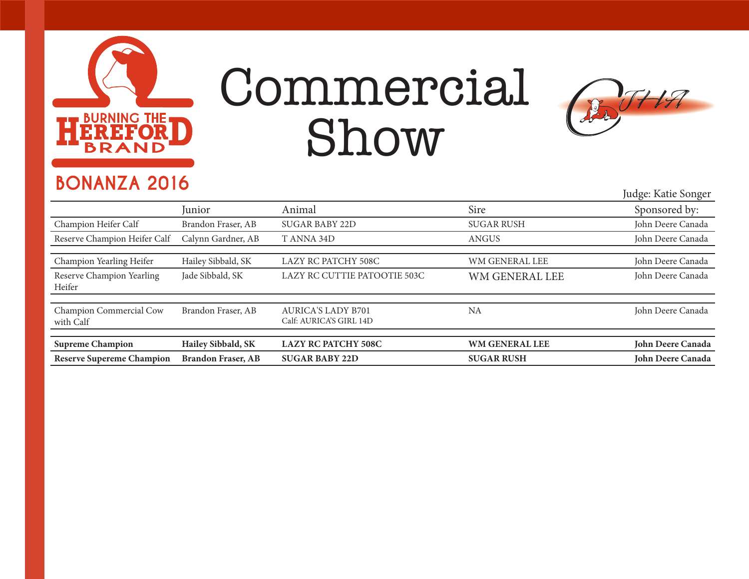

## Commercial Show



### **BONANZA 2016**

Judge: Katie Songer

| Junior                    | Animal                                               | Sire                  | Sponsored by:     |
|---------------------------|------------------------------------------------------|-----------------------|-------------------|
| Brandon Fraser, AB        | <b>SUGAR BABY 22D</b>                                | <b>SUGAR RUSH</b>     | John Deere Canada |
| Calynn Gardner, AB        | T ANNA 34D                                           | <b>ANGUS</b>          | John Deere Canada |
|                           |                                                      |                       |                   |
| Hailey Sibbald, SK        | LAZY RC PATCHY 508C                                  | WM GENERAL LEE        | John Deere Canada |
| Jade Sibbald, SK          | LAZY RC CUTTIE PATOOTIE 503C                         | WM GENERAL LEE        | John Deere Canada |
|                           |                                                      |                       |                   |
| Brandon Fraser, AB        | <b>AURICA'S LADY B701</b><br>Calf: AURICA'S GIRL 14D | <b>NA</b>             | John Deere Canada |
|                           |                                                      |                       |                   |
| Hailey Sibbald, SK        | <b>LAZY RC PATCHY 508C</b>                           | <b>WM GENERAL LEE</b> | John Deere Canada |
| <b>Brandon Fraser, AB</b> | <b>SUGAR BABY 22D</b>                                | <b>SUGAR RUSH</b>     | John Deere Canada |
|                           |                                                      |                       |                   |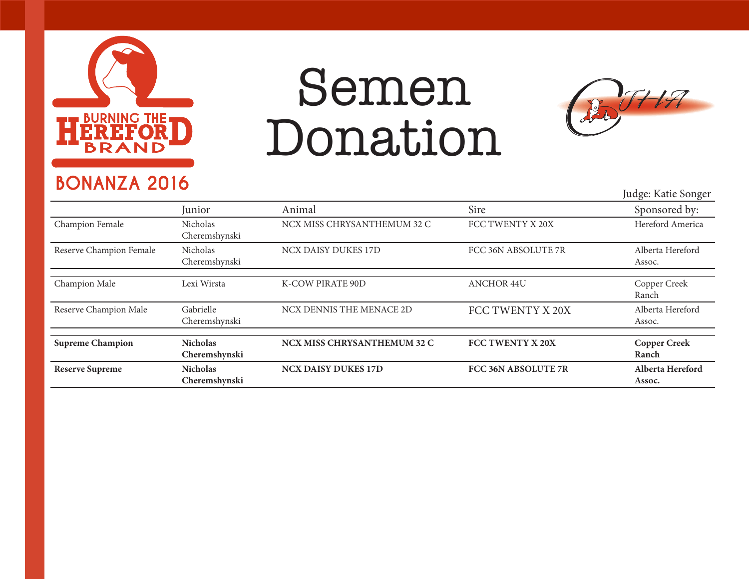

## Semen Donation



### **BONANZA 2016**

Judge: Katie Songer

|                         | Junior                           | Animal                             | Sire                | Sponsored by:                |
|-------------------------|----------------------------------|------------------------------------|---------------------|------------------------------|
| Champion Female         | Nicholas<br>Cheremshynski        | NCX MISS CHRYSANTHEMUM 32 C        | FCC TWENTY X 20X    | Hereford America             |
| Reserve Champion Female | Nicholas<br>Cheremshynski        | NCX DAISY DUKES 17D                | FCC 36N ABSOLUTE 7R | Alberta Hereford<br>Assoc.   |
| Champion Male           | Lexi Wirsta                      | K-COW PIRATE 90D                   | <b>ANCHOR 44U</b>   | Copper Creek<br>Ranch        |
| Reserve Champion Male   | Gabrielle<br>Cheremshynski       | NCX DENNIS THE MENACE 2D           | FCC TWENTY X 20X    | Alberta Hereford<br>Assoc.   |
| <b>Supreme Champion</b> | <b>Nicholas</b><br>Cheremshynski | <b>NCX MISS CHRYSANTHEMUM 32 C</b> | FCC TWENTY X 20X    | <b>Copper Creek</b><br>Ranch |
| <b>Reserve Supreme</b>  | <b>Nicholas</b><br>Cheremshynski | <b>NCX DAISY DUKES 17D</b>         | FCC 36N ABSOLUTE 7R | Alberta Hereford<br>Assoc.   |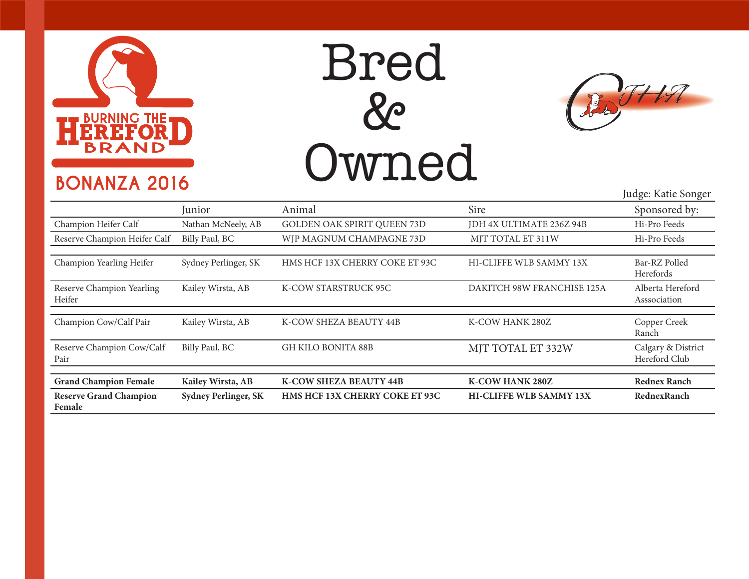

### **BONANZA 2016**





|                                         | Junior                      | Animal                                | Sire                           | Sponsored by:                       |
|-----------------------------------------|-----------------------------|---------------------------------------|--------------------------------|-------------------------------------|
| Champion Heifer Calf                    | Nathan McNeely, AB          | <b>GOLDEN OAK SPIRIT QUEEN 73D</b>    | JDH 4X ULTIMATE 236Z 94B       | Hi-Pro Feeds                        |
| Reserve Champion Heifer Calf            | Billy Paul, BC              | WJP MAGNUM CHAMPAGNE 73D              | MJT TOTAL ET 311W              | Hi-Pro Feeds                        |
|                                         |                             |                                       |                                |                                     |
| Champion Yearling Heifer                | Sydney Perlinger, SK        | HMS HCF 13X CHERRY COKE ET 93C        | HI-CLIFFE WLB SAMMY 13X        | Bar-RZ Polled<br>Herefords          |
| Reserve Champion Yearling<br>Heifer     | Kailey Wirsta, AB           | K-COW STARSTRUCK 95C                  | DAKITCH 98W FRANCHISE 125A     | Alberta Hereford<br>Asssociation    |
|                                         |                             |                                       |                                |                                     |
| Champion Cow/Calf Pair                  | Kailey Wirsta, AB           | K-COW SHEZA BEAUTY 44B                | K-COW HANK 280Z                | Copper Creek<br>Ranch               |
| Reserve Champion Cow/Calf<br>Pair       | Billy Paul, BC              | <b>GH KILO BONITA 88B</b>             | MJT TOTAL ET 332W              | Calgary & District<br>Hereford Club |
|                                         |                             |                                       |                                |                                     |
| <b>Grand Champion Female</b>            | Kailey Wirsta, AB           | <b>K-COW SHEZA BEAUTY 44B</b>         | <b>K-COW HANK 280Z</b>         | <b>Rednex Ranch</b>                 |
| <b>Reserve Grand Champion</b><br>Female | <b>Sydney Perlinger, SK</b> | <b>HMS HCF 13X CHERRY COKE ET 93C</b> | <b>HI-CLIFFE WLB SAMMY 13X</b> | RednexRanch                         |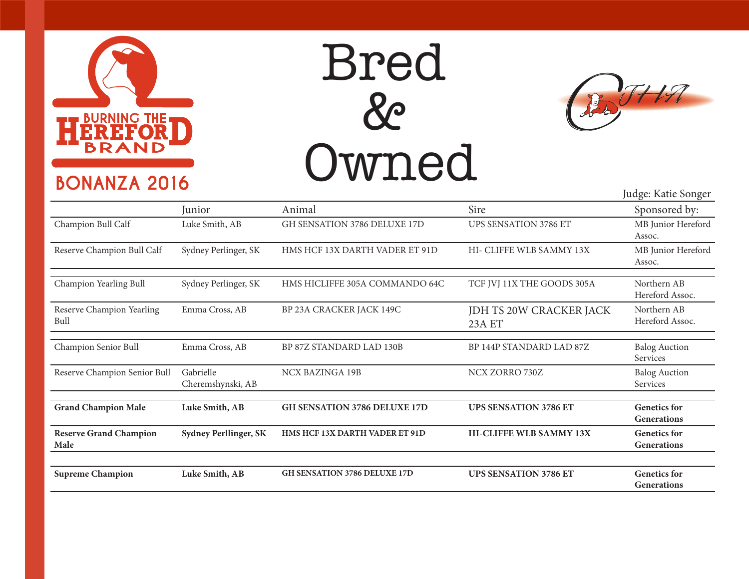

### **BONANZA 2016**





Iudge: Katie Songer

|                                       |                                |                                     |                                          | Jaage. Kuut võiigel                       |
|---------------------------------------|--------------------------------|-------------------------------------|------------------------------------------|-------------------------------------------|
|                                       | Junior                         | Animal                              | Sire                                     | Sponsored by:                             |
| Champion Bull Calf                    | Luke Smith, AB                 | GH SENSATION 3786 DELUXE 17D        | <b>UPS SENSATION 3786 ET</b>             | MB Junior Hereford<br>Assoc.              |
| Reserve Champion Bull Calf            | Sydney Perlinger, SK           | HMS HCF 13X DARTH VADER ET 91D      | HI- CLIFFE WLB SAMMY 13X                 | MB Junior Hereford<br>Assoc.              |
| Champion Yearling Bull                | Sydney Perlinger, SK           | HMS HICLIFFE 305A COMMANDO 64C      | TCF JVJ 11X THE GOODS 305A               | Northern AB<br>Hereford Assoc.            |
| Reserve Champion Yearling<br>Bull     | Emma Cross, AB                 | BP 23A CRACKER JACK 149C            | JDH TS 20W CRACKER JACK<br><b>23A ET</b> | Northern AB<br>Hereford Assoc.            |
| Champion Senior Bull                  | Emma Cross, AB                 | BP 87Z STANDARD LAD 130B            | BP 144P STANDARD LAD 87Z                 | <b>Balog Auction</b><br>Services          |
| Reserve Champion Senior Bull          | Gabrielle<br>Cheremshynski, AB | <b>NCX BAZINGA 19B</b>              | NCX ZORRO 730Z                           | <b>Balog Auction</b><br>Services          |
| <b>Grand Champion Male</b>            | Luke Smith, AB                 | <b>GH SENSATION 3786 DELUXE 17D</b> | <b>UPS SENSATION 3786 ET</b>             | <b>Genetics</b> for<br><b>Generations</b> |
| <b>Reserve Grand Champion</b><br>Male | <b>Sydney Perllinger, SK</b>   | HMS HCF 13X DARTH VADER ET 91D      | HI-CLIFFE WLB SAMMY 13X                  | <b>Genetics</b> for<br>Generations        |
| <b>Supreme Champion</b>               | Luke Smith, AB                 | <b>GH SENSATION 3786 DELUXE 17D</b> | <b>UPS SENSATION 3786 ET</b>             | <b>Genetics for</b><br><b>Generations</b> |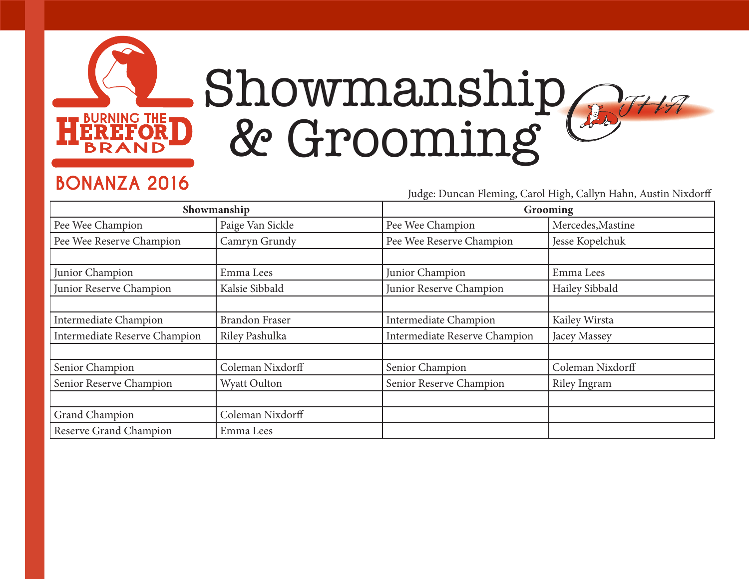

## Showmanship  $H\mathcal{F}$ & Grooming

### **BONANZA 2016**

Judge: Duncan Fleming, Carol High, Callyn Hahn, Austin Nixdorff

|                               | Showmanship           | Grooming                             |                   |  |
|-------------------------------|-----------------------|--------------------------------------|-------------------|--|
| Pee Wee Champion              | Paige Van Sickle      | Pee Wee Champion                     | Mercedes, Mastine |  |
| Pee Wee Reserve Champion      | Camryn Grundy         | Pee Wee Reserve Champion             | Jesse Kopelchuk   |  |
|                               |                       |                                      |                   |  |
| Junior Champion               | Emma Lees             | Junior Champion                      | Emma Lees         |  |
| Junior Reserve Champion       | Kalsie Sibbald        | Junior Reserve Champion              | Hailey Sibbald    |  |
|                               |                       |                                      |                   |  |
| <b>Intermediate Champion</b>  | <b>Brandon Fraser</b> | <b>Intermediate Champion</b>         | Kailey Wirsta     |  |
| Intermediate Reserve Champion | Riley Pashulka        | <b>Intermediate Reserve Champion</b> | Jacey Massey      |  |
|                               |                       |                                      |                   |  |
| Senior Champion               | Coleman Nixdorff      | Senior Champion                      | Coleman Nixdorff  |  |
| Senior Reserve Champion       | Wyatt Oulton          | Senior Reserve Champion              | Riley Ingram      |  |
|                               |                       |                                      |                   |  |
| Grand Champion                | Coleman Nixdorff      |                                      |                   |  |
| Reserve Grand Champion        | Emma Lees             |                                      |                   |  |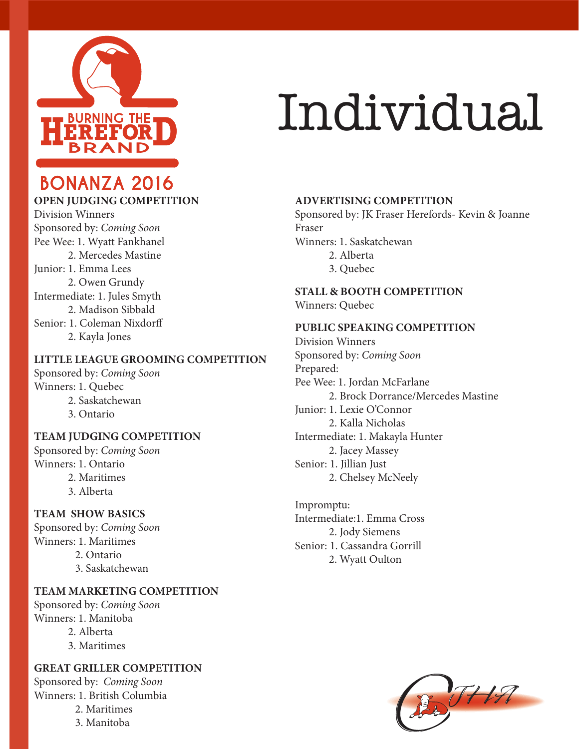

## Individual

### **BONANZA 2016**

#### **OPEN JUDGING COMPETITION**

Division Winners Sponsored by: *Coming Soon* Pee Wee: 1. Wyatt Fankhanel 2. Mercedes Mastine Junior: 1. Emma Lees 2. Owen Grundy Intermediate: 1. Jules Smyth 2. Madison Sibbald Senior: 1. Coleman Nixdorff 2. Kayla Jones

#### **LITTLE LEAGUE GROOMING COMPETITION**

Sponsored by: *Coming Soon* Winners: 1. Quebec 2. Saskatchewan 3. Ontario

#### **TEAM JUDGING COMPETITION**

Sponsored by: *Coming Soon* Winners: 1. Ontario

- 2. Maritimes
- 3. Alberta

#### **TEAM SHOW BASICS**

Sponsored by: *Coming Soon* Winners: 1. Maritimes 2. Ontario 3. Saskatchewan

#### **TEAM MARKETING COMPETITION**

Sponsored by: *Coming Soon* Winners: 1. Manitoba

- 2. Alberta
- 3. Maritimes

#### **GREAT GRILLER COMPETITION**

Sponsored by: *Coming Soon* Winners: 1. British Columbia

- 2. Maritimes
- 3. Manitoba

#### **ADVERTISING COMPETITION**

Sponsored by: JK Fraser Herefords- Kevin & Joanne Fraser

Winners: 1. Saskatchewan

- 2. Alberta
- 3. Quebec

**STALL & BOOTH COMPETITION** Winners: Quebec

#### **PUBLIC SPEAKING COMPETITION**

Division Winners Sponsored by: *Coming Soon* Prepared: Pee Wee: 1. Jordan McFarlane 2. Brock Dorrance/Mercedes Mastine Junior: 1. Lexie O'Connor 2. Kalla Nicholas Intermediate: 1. Makayla Hunter 2. Jacey Massey Senior: 1. Jillian Just 2. Chelsey McNeely

Impromptu: Intermediate:1. Emma Cross 2. Jody Siemens Senior: 1. Cassandra Gorrill 2. Wyatt Oulton

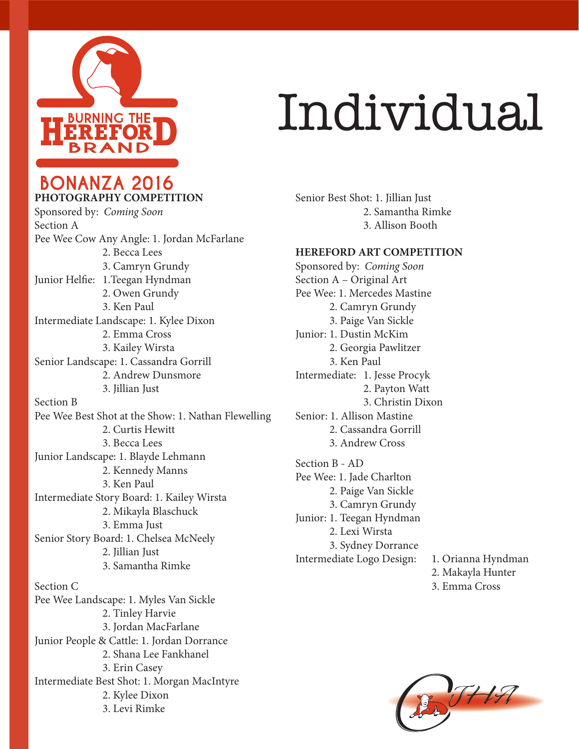

## Individual

Senior Best Shot: 1. Jillian Just 2. Samantha Rimke 3. Allison Booth

#### **HEREFORD ART COMPETITION**

Sponsored by: *Coming Soon* Section A – Original Art Pee Wee: 1. Mercedes Mastine 2. Camryn Grundy 3. Paige Van Sickle Junior: 1. Dustin McKim 2. Georgia Pawlitzer 3. Ken Paul Intermediate: 1. Jesse Procyk Senior: 1. Allison Mastine 2. Cassandra Gorrill 3. Andrew Cross Section B - AD Pee Wee: 1. Jade Charlton 2. Paige Van Sickle 3. Camryn Grundy Junior: 1. Teegan Hyndman 2. Lexi Wirsta 3. Sydney Dorrance

 2. Payton Watt 3. Christin Dixon Intermediate Logo Design: 1. Orianna Hyndman

- 2. Makayla Hunter
- 3. Emma Cross



**BONANZA 2016 PHOTOGRAPHY COMPETITION** Sponsored by: *Coming Soon* Section A

Pee Wee Cow Any Angle: 1. Jordan McFarlane 2. Becca Lees 3. Camryn Grundy Junior Helfie: 1.Teegan Hyndman 2. Owen Grundy 3. Ken Paul Intermediate Landscape: 1. Kylee Dixon 2. Emma Cross 3. Kailey Wirsta Senior Landscape: 1. Cassandra Gorrill 2. Andrew Dunsmore 3. Jillian Just Section B Pee Wee Best Shot at the Show: 1. Nathan Flewelling 2. Curtis Hewitt 3. Becca Lees Junior Landscape: 1. Blayde Lehmann 2. Kennedy Manns 3. Ken Paul Intermediate Story Board: 1. Kailey Wirsta 2. Mikayla Blaschuck 3. Emma Just Senior Story Board: 1. Chelsea McNeely 2. Jillian Just 3. Samantha Rimke

Section C Pee Wee Landscape: 1. Myles Van Sickle 2. Tinley Harvie 3. Jordan MacFarlane Junior People & Cattle: 1. Jordan Dorrance 2. Shana Lee Fankhanel 3. Erin Casey Intermediate Best Shot: 1. Morgan MacIntyre 2. Kylee Dixon 3. Levi Rimke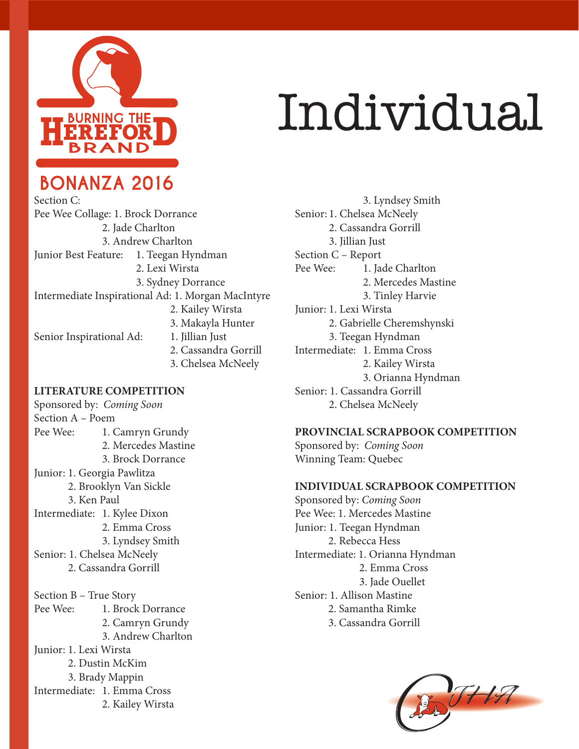

**BONANZA 2016** 

## Individual

Section C: Pee Wee Collage: 1. Brock Dorrance 2. Jade Charlton 3. Andrew Charlton Junior Best Feature: 1. Teegan Hyndman 2. Lexi Wirsta 3. Sydney Dorrance Intermediate Inspirational Ad: 1. Morgan MacIntyre 2. Kailey Wirsta 3. Makayla Hunter Senior Inspirational Ad: 1. Jillian Just 2. Cassandra Gorrill 3. Chelsea McNeely

#### **LITERATURE COMPETITION**

Sponsored by: *Coming Soon* Section A – Poem Pee Wee: 1. Camryn Grundy 2. Mercedes Mastine 3. Brock Dorrance Junior: 1. Georgia Pawlitza 2. Brooklyn Van Sickle 3. Ken Paul Intermediate: 1. Kylee Dixon 2. Emma Cross 3. Lyndsey Smith Senior: 1. Chelsea McNeely 2. Cassandra Gorrill Section B – True Story Pee Wee: 1. Brock Dorrance 2. Camryn Grundy 3. Andrew Charlton Junior: 1. Lexi Wirsta 2. Dustin McKim 3. Brady Mappin Intermediate: 1. Emma Cross 2. Kailey Wirsta

 3. Lyndsey Smith Senior: 1. Chelsea McNeely 2. Cassandra Gorrill 3. Jillian Just Section C – Report Pee Wee: 1. Jade Charlton 2. Mercedes Mastine 3. Tinley Harvie Junior: 1. Lexi Wirsta 2. Gabrielle Cheremshynski 3. Teegan Hyndman Intermediate: 1. Emma Cross 2. Kailey Wirsta 3. Orianna Hyndman Senior: 1. Cassandra Gorrill 2. Chelsea McNeely

#### **PROVINCIAL SCRAPBOOK COMPETITION**

Sponsored by: *Coming Soon* Winning Team: Quebec

#### **INDIVIDUAL SCRAPBOOK COMPETITION**

Sponsored by: *Coming Soon* Pee Wee: 1. Mercedes Mastine Junior: 1. Teegan Hyndman 2. Rebecca Hess Intermediate: 1. Orianna Hyndman 2. Emma Cross 3. Jade Ouellet Senior: 1. Allison Mastine 2. Samantha Rimke 3. Cassandra Gorrill